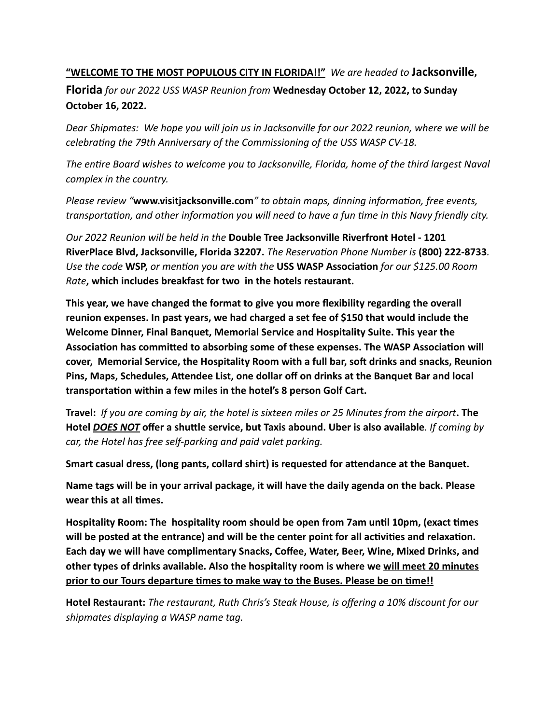## **"WELCOME TO THE MOST POPULOUS CITY IN FLORIDA!!"** *We are headed to* **Jacksonville, Florida** *for our 2022 USS WASP Reunion from* **Wednesday October 12, 2022, to Sunday October 16, 2022.**

*Dear Shipmates: We hope you will join us in Jacksonville for our 2022 reunion, where we will be celebrating the 79th Anniversary of the Commissioning of the USS WASP CV-18.*

*The entire Board wishes to welcome you to Jacksonville, Florida, home of the third largest Naval complex in the country.*

*Please review "***www.visitjacksonville.com***" to obtain maps, dinning information, free events, transportation, and other information you will need to have a fun time in this Navy friendly city.*

*Our 2022 Reunion will be held in the* **Double Tree Jacksonville Riverfront Hotel - 1201 RiverPlace Blvd, Jacksonville, Florida 32207.** *The Reservation Phone Number is* **(800) 222-8733***. Use the code* **WSP,** *or mention you are with the* **USS WASP Association** *for our \$125.00 Room Rate***, which includes breakfast for two in the hotels restaurant.**

**This year, we have changed the format to give you more flexibility regarding the overall reunion expenses. In past years, we had charged a set fee of \$150 that would include the Welcome Dinner, Final Banquet, Memorial Service and Hospitality Suite. This year the Association has committed to absorbing some of these expenses. The WASP Association will cover, Memorial Service, the Hospitality Room with a full bar, soft drinks and snacks, Reunion Pins, Maps, Schedules, Attendee List, one dollar off on drinks at the Banquet Bar and local transportation within a few miles in the hotel's 8 person Golf Cart.** 

**Travel:** *If you are coming by air, the hotel is sixteen miles or 25 Minutes from the airport***. The Hotel** *DOES NOT* **offer a shuttle service, but Taxis abound. Uber is also available***. If coming by car, the Hotel has free self-parking and paid valet parking.*

**Smart casual dress, (long pants, collard shirt) is requested for attendance at the Banquet.**

**Name tags will be in your arrival package, it will have the daily agenda on the back. Please wear this at all times.** 

**Hospitality Room: The hospitality room should be open from 7am until 10pm, (exact times will be posted at the entrance) and will be the center point for all activities and relaxation. Each day we will have complimentary Snacks, Coffee, Water, Beer, Wine, Mixed Drinks, and other types of drinks available. Also the hospitality room is where we will meet 20 minutes prior to our Tours departure times to make way to the Buses. Please be on time!!**

**Hotel Restaurant:** *The restaurant, Ruth Chris's Steak House, is offering a 10% discount for our shipmates displaying a WASP name tag.*